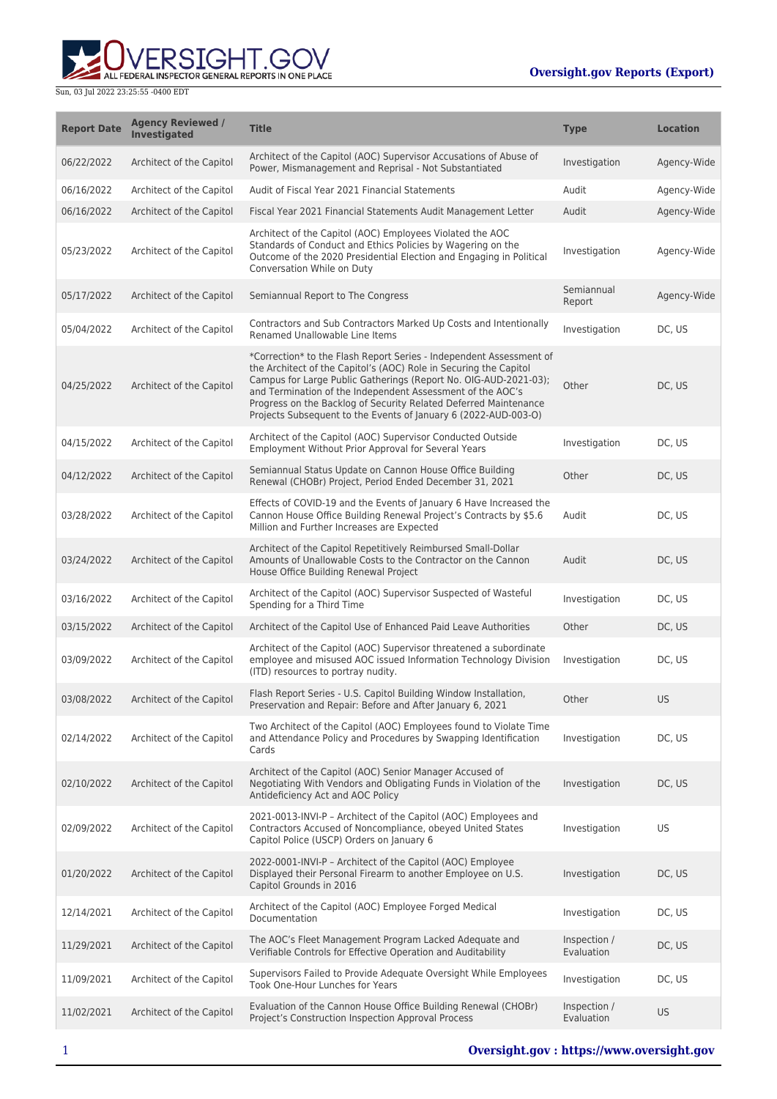

| <b>Report Date</b> | <b>Agency Reviewed /</b><br>Investigated | <b>Title</b>                                                                                                                                                                                                                                                                                                                                                                                                      | <b>Type</b>                | <b>Location</b> |
|--------------------|------------------------------------------|-------------------------------------------------------------------------------------------------------------------------------------------------------------------------------------------------------------------------------------------------------------------------------------------------------------------------------------------------------------------------------------------------------------------|----------------------------|-----------------|
| 06/22/2022         | Architect of the Capitol                 | Architect of the Capitol (AOC) Supervisor Accusations of Abuse of<br>Power, Mismanagement and Reprisal - Not Substantiated                                                                                                                                                                                                                                                                                        | Investigation              | Agency-Wide     |
| 06/16/2022         | Architect of the Capitol                 | Audit of Fiscal Year 2021 Financial Statements                                                                                                                                                                                                                                                                                                                                                                    | Audit                      | Agency-Wide     |
| 06/16/2022         | Architect of the Capitol                 | Fiscal Year 2021 Financial Statements Audit Management Letter                                                                                                                                                                                                                                                                                                                                                     | Audit                      | Agency-Wide     |
| 05/23/2022         | Architect of the Capitol                 | Architect of the Capitol (AOC) Employees Violated the AOC<br>Standards of Conduct and Ethics Policies by Wagering on the<br>Outcome of the 2020 Presidential Election and Engaging in Political<br>Conversation While on Duty                                                                                                                                                                                     | Investigation              | Agency-Wide     |
| 05/17/2022         | Architect of the Capitol                 | Semiannual Report to The Congress                                                                                                                                                                                                                                                                                                                                                                                 | Semiannual<br>Report       | Agency-Wide     |
| 05/04/2022         | Architect of the Capitol                 | Contractors and Sub Contractors Marked Up Costs and Intentionally<br>Renamed Unallowable Line Items                                                                                                                                                                                                                                                                                                               | Investigation              | DC, US          |
| 04/25/2022         | Architect of the Capitol                 | *Correction* to the Flash Report Series - Independent Assessment of<br>the Architect of the Capitol's (AOC) Role in Securing the Capitol<br>Campus for Large Public Gatherings (Report No. OIG-AUD-2021-03);<br>and Termination of the Independent Assessment of the AOC's<br>Progress on the Backlog of Security Related Deferred Maintenance<br>Projects Subsequent to the Events of January 6 (2022-AUD-003-O) | Other                      | DC, US          |
| 04/15/2022         | Architect of the Capitol                 | Architect of the Capitol (AOC) Supervisor Conducted Outside<br>Employment Without Prior Approval for Several Years                                                                                                                                                                                                                                                                                                | Investigation              | DC, US          |
| 04/12/2022         | Architect of the Capitol                 | Semiannual Status Update on Cannon House Office Building<br>Renewal (CHOBr) Project, Period Ended December 31, 2021                                                                                                                                                                                                                                                                                               | Other                      | DC, US          |
| 03/28/2022         | Architect of the Capitol                 | Effects of COVID-19 and the Events of January 6 Have Increased the<br>Cannon House Office Building Renewal Project's Contracts by \$5.6<br>Million and Further Increases are Expected                                                                                                                                                                                                                             | Audit                      | DC, US          |
| 03/24/2022         | Architect of the Capitol                 | Architect of the Capitol Repetitively Reimbursed Small-Dollar<br>Amounts of Unallowable Costs to the Contractor on the Cannon<br>House Office Building Renewal Project                                                                                                                                                                                                                                            | Audit                      | DC, US          |
| 03/16/2022         | Architect of the Capitol                 | Architect of the Capitol (AOC) Supervisor Suspected of Wasteful<br>Spending for a Third Time                                                                                                                                                                                                                                                                                                                      | Investigation              | DC, US          |
| 03/15/2022         | Architect of the Capitol                 | Architect of the Capitol Use of Enhanced Paid Leave Authorities                                                                                                                                                                                                                                                                                                                                                   | Other                      | DC, US          |
| 03/09/2022         | Architect of the Capitol                 | Architect of the Capitol (AOC) Supervisor threatened a subordinate<br>employee and misused AOC issued Information Technology Division<br>(ITD) resources to portray nudity.                                                                                                                                                                                                                                       | Investigation              | DC, US          |
| 03/08/2022         | Architect of the Capitol                 | Flash Report Series - U.S. Capitol Building Window Installation,<br>Preservation and Repair: Before and After January 6, 2021                                                                                                                                                                                                                                                                                     | Other                      | <b>US</b>       |
| 02/14/2022         | Architect of the Capitol                 | Two Architect of the Capitol (AOC) Employees found to Violate Time<br>and Attendance Policy and Procedures by Swapping Identification<br>Cards                                                                                                                                                                                                                                                                    | Investigation              | DC, US          |
| 02/10/2022         | Architect of the Capitol                 | Architect of the Capitol (AOC) Senior Manager Accused of<br>Negotiating With Vendors and Obligating Funds in Violation of the<br>Antideficiency Act and AOC Policy                                                                                                                                                                                                                                                | Investigation              | DC, US          |
| 02/09/2022         | Architect of the Capitol                 | 2021-0013-INVI-P - Architect of the Capitol (AOC) Employees and<br>Contractors Accused of Noncompliance, obeyed United States<br>Capitol Police (USCP) Orders on January 6                                                                                                                                                                                                                                        | Investigation              | US              |
| 01/20/2022         | Architect of the Capitol                 | 2022-0001-INVI-P - Architect of the Capitol (AOC) Employee<br>Displayed their Personal Firearm to another Employee on U.S.<br>Capitol Grounds in 2016                                                                                                                                                                                                                                                             | Investigation              | DC, US          |
| 12/14/2021         | Architect of the Capitol                 | Architect of the Capitol (AOC) Employee Forged Medical<br>Documentation                                                                                                                                                                                                                                                                                                                                           | Investigation              | DC, US          |
| 11/29/2021         | Architect of the Capitol                 | The AOC's Fleet Management Program Lacked Adequate and<br>Verifiable Controls for Effective Operation and Auditability                                                                                                                                                                                                                                                                                            | Inspection /<br>Evaluation | DC, US          |
| 11/09/2021         | Architect of the Capitol                 | Supervisors Failed to Provide Adequate Oversight While Employees<br>Took One-Hour Lunches for Years                                                                                                                                                                                                                                                                                                               | Investigation              | DC, US          |
| 11/02/2021         | Architect of the Capitol                 | Evaluation of the Cannon House Office Building Renewal (CHOBr)<br>Project's Construction Inspection Approval Process                                                                                                                                                                                                                                                                                              | Inspection /<br>Evaluation | <b>US</b>       |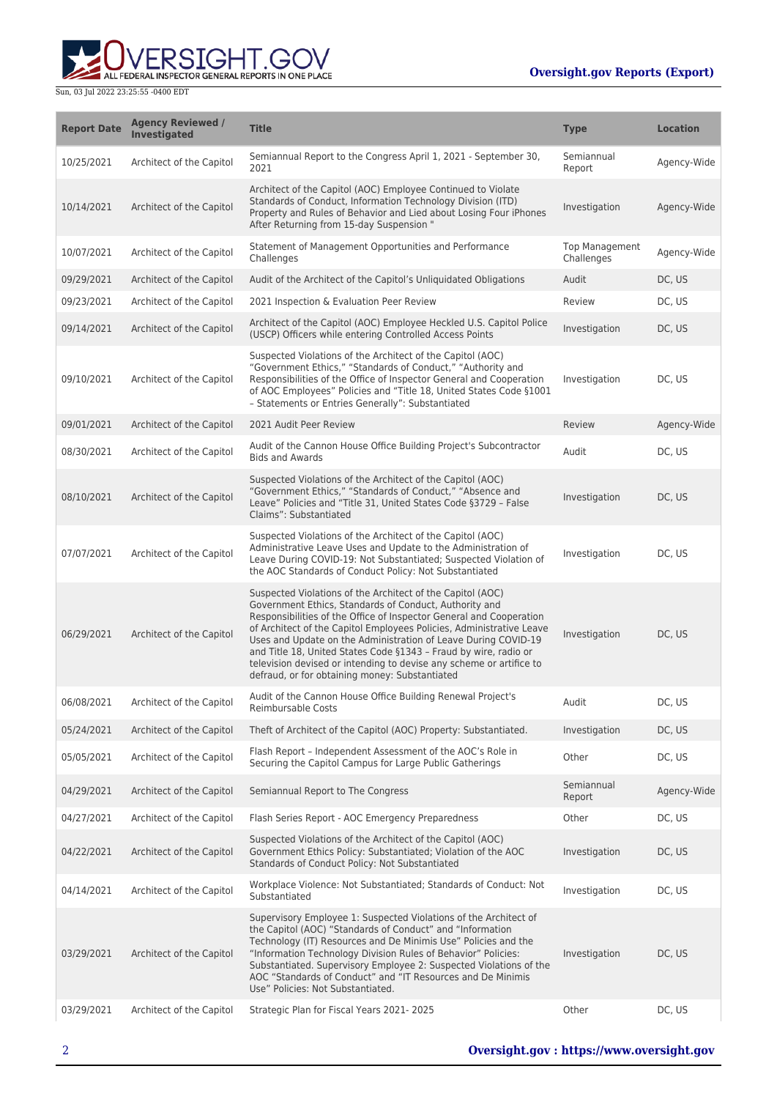

| <b>Report Date</b> | <b>Agency Reviewed /</b><br>Investigated | <b>Title</b>                                                                                                                                                                                                                                                                                                                                                                                                                                                                                                                       | <b>Type</b>                         | <b>Location</b> |
|--------------------|------------------------------------------|------------------------------------------------------------------------------------------------------------------------------------------------------------------------------------------------------------------------------------------------------------------------------------------------------------------------------------------------------------------------------------------------------------------------------------------------------------------------------------------------------------------------------------|-------------------------------------|-----------------|
| 10/25/2021         | Architect of the Capitol                 | Semiannual Report to the Congress April 1, 2021 - September 30,<br>2021                                                                                                                                                                                                                                                                                                                                                                                                                                                            | Semiannual<br>Report                | Agency-Wide     |
| 10/14/2021         | Architect of the Capitol                 | Architect of the Capitol (AOC) Employee Continued to Violate<br>Standards of Conduct, Information Technology Division (ITD)<br>Property and Rules of Behavior and Lied about Losing Four iPhones<br>After Returning from 15-day Suspension "                                                                                                                                                                                                                                                                                       | Investigation                       | Agency-Wide     |
| 10/07/2021         | Architect of the Capitol                 | Statement of Management Opportunities and Performance<br>Challenges                                                                                                                                                                                                                                                                                                                                                                                                                                                                | <b>Top Management</b><br>Challenges | Agency-Wide     |
| 09/29/2021         | Architect of the Capitol                 | Audit of the Architect of the Capitol's Unliquidated Obligations                                                                                                                                                                                                                                                                                                                                                                                                                                                                   | Audit                               | DC, US          |
| 09/23/2021         | Architect of the Capitol                 | 2021 Inspection & Evaluation Peer Review                                                                                                                                                                                                                                                                                                                                                                                                                                                                                           | Review                              | DC, US          |
| 09/14/2021         | Architect of the Capitol                 | Architect of the Capitol (AOC) Employee Heckled U.S. Capitol Police<br>(USCP) Officers while entering Controlled Access Points                                                                                                                                                                                                                                                                                                                                                                                                     | Investigation                       | DC, US          |
| 09/10/2021         | Architect of the Capitol                 | Suspected Violations of the Architect of the Capitol (AOC)<br>"Government Ethics," "Standards of Conduct," "Authority and<br>Responsibilities of the Office of Inspector General and Cooperation<br>of AOC Employees" Policies and "Title 18, United States Code §1001<br>- Statements or Entries Generally": Substantiated                                                                                                                                                                                                        | Investigation                       | DC, US          |
| 09/01/2021         | Architect of the Capitol                 | 2021 Audit Peer Review                                                                                                                                                                                                                                                                                                                                                                                                                                                                                                             | Review                              | Agency-Wide     |
| 08/30/2021         | Architect of the Capitol                 | Audit of the Cannon House Office Building Project's Subcontractor<br><b>Bids and Awards</b>                                                                                                                                                                                                                                                                                                                                                                                                                                        | Audit                               | DC, US          |
| 08/10/2021         | Architect of the Capitol                 | Suspected Violations of the Architect of the Capitol (AOC)<br>"Government Ethics," "Standards of Conduct," "Absence and<br>Leave" Policies and "Title 31, United States Code §3729 - False<br>Claims": Substantiated                                                                                                                                                                                                                                                                                                               | Investigation                       | DC, US          |
| 07/07/2021         | Architect of the Capitol                 | Suspected Violations of the Architect of the Capitol (AOC)<br>Administrative Leave Uses and Update to the Administration of<br>Leave During COVID-19: Not Substantiated; Suspected Violation of<br>the AOC Standards of Conduct Policy: Not Substantiated                                                                                                                                                                                                                                                                          | Investigation                       | DC, US          |
| 06/29/2021         | Architect of the Capitol                 | Suspected Violations of the Architect of the Capitol (AOC)<br>Government Ethics, Standards of Conduct, Authority and<br>Responsibilities of the Office of Inspector General and Cooperation<br>of Architect of the Capitol Employees Policies, Administrative Leave<br>Uses and Update on the Administration of Leave During COVID-19<br>and Title 18, United States Code §1343 - Fraud by wire, radio or<br>television devised or intending to devise any scheme or artifice to<br>defraud, or for obtaining money: Substantiated | Investigation                       | DC, US          |
| 06/08/2021         | Architect of the Capitol                 | Audit of the Cannon House Office Building Renewal Project's<br>Reimbursable Costs                                                                                                                                                                                                                                                                                                                                                                                                                                                  | Audit                               | DC, US          |
| 05/24/2021         | Architect of the Capitol                 | Theft of Architect of the Capitol (AOC) Property: Substantiated.                                                                                                                                                                                                                                                                                                                                                                                                                                                                   | Investigation                       | DC, US          |
| 05/05/2021         | Architect of the Capitol                 | Flash Report - Independent Assessment of the AOC's Role in<br>Securing the Capitol Campus for Large Public Gatherings                                                                                                                                                                                                                                                                                                                                                                                                              | Other                               | DC, US          |
| 04/29/2021         | Architect of the Capitol                 | Semiannual Report to The Congress                                                                                                                                                                                                                                                                                                                                                                                                                                                                                                  | Semiannual<br>Report                | Agency-Wide     |
| 04/27/2021         | Architect of the Capitol                 | Flash Series Report - AOC Emergency Preparedness                                                                                                                                                                                                                                                                                                                                                                                                                                                                                   | Other                               | DC, US          |
| 04/22/2021         | Architect of the Capitol                 | Suspected Violations of the Architect of the Capitol (AOC)<br>Government Ethics Policy: Substantiated; Violation of the AOC<br>Standards of Conduct Policy: Not Substantiated                                                                                                                                                                                                                                                                                                                                                      | Investigation                       | DC, US          |
| 04/14/2021         | Architect of the Capitol                 | Workplace Violence: Not Substantiated; Standards of Conduct: Not<br>Substantiated                                                                                                                                                                                                                                                                                                                                                                                                                                                  | Investigation                       | DC, US          |
| 03/29/2021         | Architect of the Capitol                 | Supervisory Employee 1: Suspected Violations of the Architect of<br>the Capitol (AOC) "Standards of Conduct" and "Information<br>Technology (IT) Resources and De Minimis Use" Policies and the<br>"Information Technology Division Rules of Behavior" Policies:<br>Substantiated. Supervisory Employee 2: Suspected Violations of the<br>AOC "Standards of Conduct" and "IT Resources and De Minimis<br>Use" Policies: Not Substantiated.                                                                                         | Investigation                       | DC, US          |
| 03/29/2021         | Architect of the Capitol                 | Strategic Plan for Fiscal Years 2021-2025                                                                                                                                                                                                                                                                                                                                                                                                                                                                                          | Other                               | DC, US          |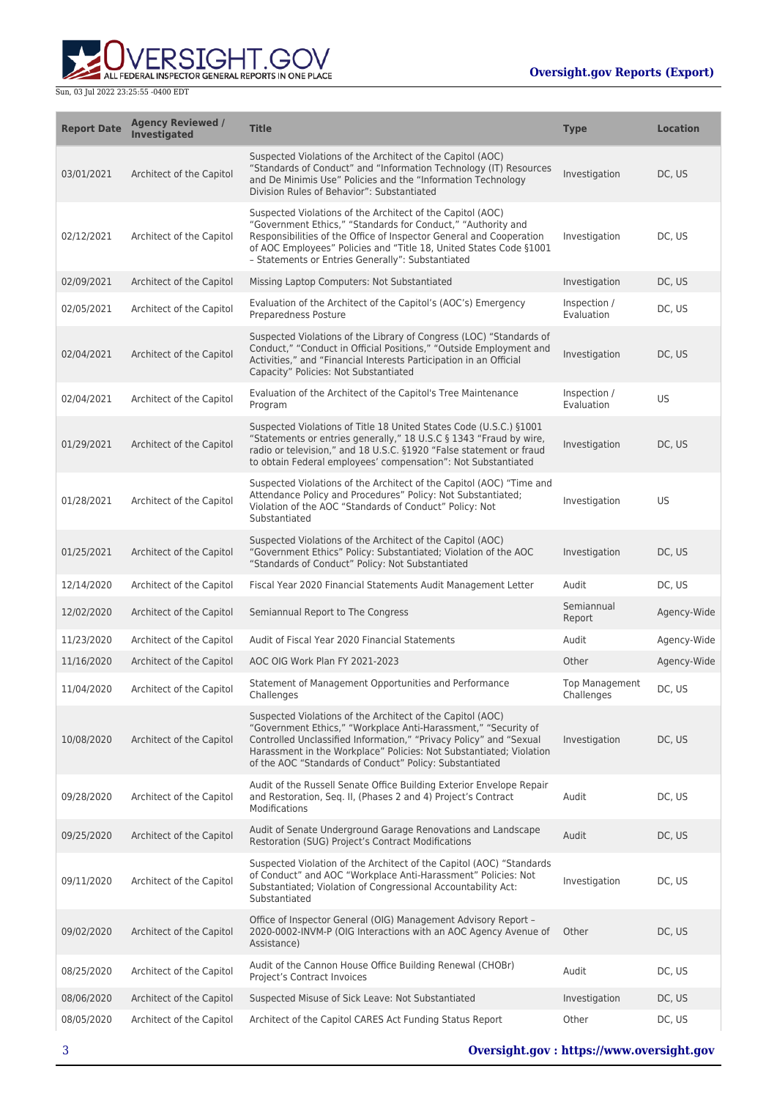

| <b>Report Date</b> | <b>Agency Reviewed /</b><br><b>Investigated</b> | <b>Title</b>                                                                                                                                                                                                                                                                                                                         | <b>Type</b>                  | <b>Location</b> |
|--------------------|-------------------------------------------------|--------------------------------------------------------------------------------------------------------------------------------------------------------------------------------------------------------------------------------------------------------------------------------------------------------------------------------------|------------------------------|-----------------|
| 03/01/2021         | Architect of the Capitol                        | Suspected Violations of the Architect of the Capitol (AOC)<br>"Standards of Conduct" and "Information Technology (IT) Resources<br>and De Minimis Use" Policies and the "Information Technology<br>Division Rules of Behavior": Substantiated                                                                                        | Investigation                | DC, US          |
| 02/12/2021         | Architect of the Capitol                        | Suspected Violations of the Architect of the Capitol (AOC)<br>"Government Ethics," "Standards for Conduct," "Authority and<br>Responsibilities of the Office of Inspector General and Cooperation<br>of AOC Employees" Policies and "Title 18, United States Code §1001<br>- Statements or Entries Generally": Substantiated         | Investigation                | DC, US          |
| 02/09/2021         | Architect of the Capitol                        | Missing Laptop Computers: Not Substantiated                                                                                                                                                                                                                                                                                          | Investigation                | DC, US          |
| 02/05/2021         | Architect of the Capitol                        | Evaluation of the Architect of the Capitol's (AOC's) Emergency<br>Preparedness Posture                                                                                                                                                                                                                                               | Inspection /<br>Evaluation   | DC, US          |
| 02/04/2021         | Architect of the Capitol                        | Suspected Violations of the Library of Congress (LOC) "Standards of<br>Conduct," "Conduct in Official Positions," "Outside Employment and<br>Activities," and "Financial Interests Participation in an Official<br>Capacity" Policies: Not Substantiated                                                                             | Investigation                | DC, US          |
| 02/04/2021         | Architect of the Capitol                        | Evaluation of the Architect of the Capitol's Tree Maintenance<br>Program                                                                                                                                                                                                                                                             | Inspection /<br>Evaluation   | US              |
| 01/29/2021         | Architect of the Capitol                        | Suspected Violations of Title 18 United States Code (U.S.C.) §1001<br>"Statements or entries generally," 18 U.S.C § 1343 "Fraud by wire,<br>radio or television," and 18 U.S.C. §1920 "False statement or fraud<br>to obtain Federal employees' compensation": Not Substantiated                                                     | Investigation                | DC, US          |
| 01/28/2021         | Architect of the Capitol                        | Suspected Violations of the Architect of the Capitol (AOC) "Time and<br>Attendance Policy and Procedures" Policy: Not Substantiated;<br>Violation of the AOC "Standards of Conduct" Policy: Not<br>Substantiated                                                                                                                     | Investigation                | US              |
| 01/25/2021         | Architect of the Capitol                        | Suspected Violations of the Architect of the Capitol (AOC)<br>"Government Ethics" Policy: Substantiated; Violation of the AOC<br>"Standards of Conduct" Policy: Not Substantiated                                                                                                                                                    | Investigation                | DC, US          |
| 12/14/2020         | Architect of the Capitol                        | Fiscal Year 2020 Financial Statements Audit Management Letter                                                                                                                                                                                                                                                                        | Audit                        | DC, US          |
| 12/02/2020         | Architect of the Capitol                        | Semiannual Report to The Congress                                                                                                                                                                                                                                                                                                    | Semiannual<br>Report         | Agency-Wide     |
| 11/23/2020         | Architect of the Capitol                        | Audit of Fiscal Year 2020 Financial Statements                                                                                                                                                                                                                                                                                       | Audit                        | Agency-Wide     |
| 11/16/2020         | Architect of the Capitol                        | AOC OIG Work Plan FY 2021-2023                                                                                                                                                                                                                                                                                                       | Other                        | Agency-Wide     |
| 11/04/2020         | Architect of the Capitol                        | Statement of Management Opportunities and Performance<br>Challenges                                                                                                                                                                                                                                                                  | Top Management<br>Challenges | DC, US          |
| 10/08/2020         | Architect of the Capitol                        | Suspected Violations of the Architect of the Capitol (AOC)<br>"Government Ethics," "Workplace Anti-Harassment," "Security of<br>Controlled Unclassified Information," "Privacy Policy" and "Sexual<br>Harassment in the Workplace" Policies: Not Substantiated; Violation<br>of the AOC "Standards of Conduct" Policy: Substantiated | Investigation                | DC, US          |
| 09/28/2020         | Architect of the Capitol                        | Audit of the Russell Senate Office Building Exterior Envelope Repair<br>and Restoration, Seq. II, (Phases 2 and 4) Project's Contract<br>Modifications                                                                                                                                                                               | Audit                        | DC, US          |
| 09/25/2020         | Architect of the Capitol                        | Audit of Senate Underground Garage Renovations and Landscape<br>Restoration (SUG) Project's Contract Modifications                                                                                                                                                                                                                   | Audit                        | DC, US          |
| 09/11/2020         | Architect of the Capitol                        | Suspected Violation of the Architect of the Capitol (AOC) "Standards<br>of Conduct" and AOC "Workplace Anti-Harassment" Policies: Not<br>Substantiated; Violation of Congressional Accountability Act:<br>Substantiated                                                                                                              | Investigation                | DC, US          |
| 09/02/2020         | Architect of the Capitol                        | Office of Inspector General (OIG) Management Advisory Report -<br>2020-0002-INVM-P (OIG Interactions with an AOC Agency Avenue of<br>Assistance)                                                                                                                                                                                     | Other                        | DC, US          |
| 08/25/2020         | Architect of the Capitol                        | Audit of the Cannon House Office Building Renewal (CHOBr)<br>Project's Contract Invoices                                                                                                                                                                                                                                             | Audit                        | DC, US          |
| 08/06/2020         | Architect of the Capitol                        | Suspected Misuse of Sick Leave: Not Substantiated                                                                                                                                                                                                                                                                                    | Investigation                | DC, US          |
| 08/05/2020         | Architect of the Capitol                        | Architect of the Capitol CARES Act Funding Status Report                                                                                                                                                                                                                                                                             | Other                        | DC, US          |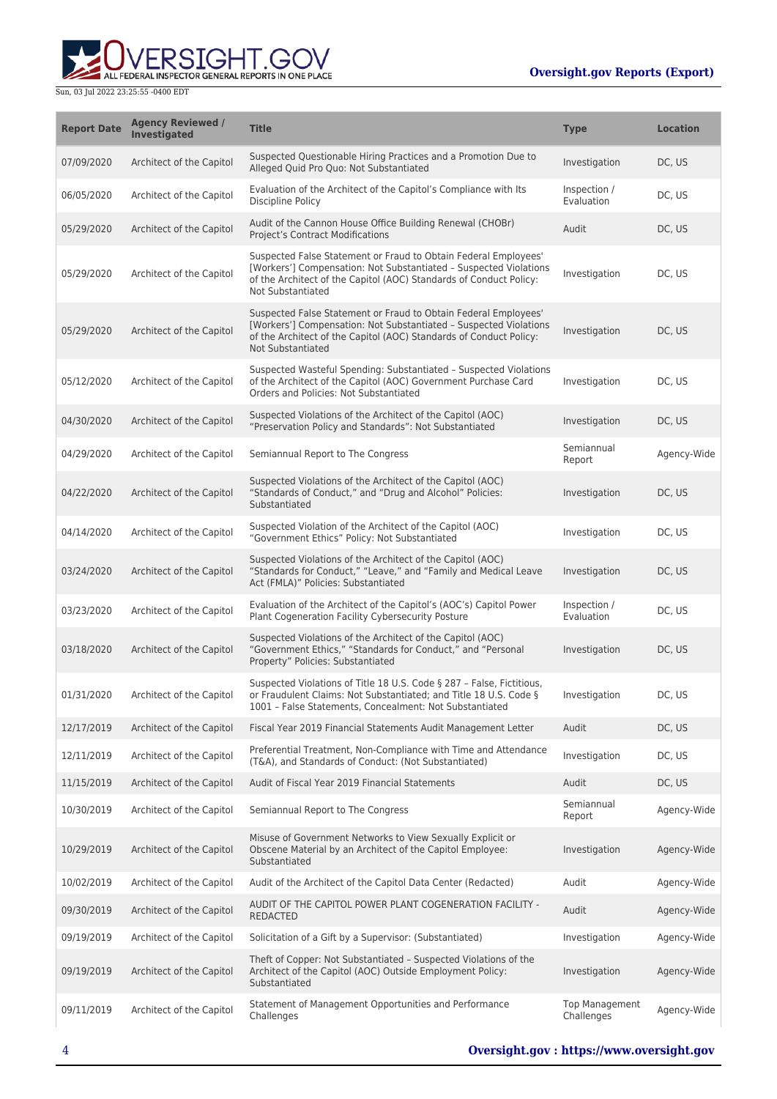## **Oversight.gov Reports (Export)**



| <b>Report Date</b> | <b>Agency Reviewed /</b><br>Investigated | <b>Title</b>                                                                                                                                                                                                                    | <b>Type</b>                         | <b>Location</b> |
|--------------------|------------------------------------------|---------------------------------------------------------------------------------------------------------------------------------------------------------------------------------------------------------------------------------|-------------------------------------|-----------------|
| 07/09/2020         | Architect of the Capitol                 | Suspected Questionable Hiring Practices and a Promotion Due to<br>Alleged Quid Pro Quo: Not Substantiated                                                                                                                       | Investigation                       | DC, US          |
| 06/05/2020         | Architect of the Capitol                 | Evaluation of the Architect of the Capitol's Compliance with Its<br><b>Discipline Policy</b>                                                                                                                                    | Inspection /<br>Evaluation          | DC, US          |
| 05/29/2020         | Architect of the Capitol                 | Audit of the Cannon House Office Building Renewal (CHOBr)<br><b>Project's Contract Modifications</b>                                                                                                                            | Audit                               | DC, US          |
| 05/29/2020         | Architect of the Capitol                 | Suspected False Statement or Fraud to Obtain Federal Employees'<br>[Workers'] Compensation: Not Substantiated - Suspected Violations<br>of the Architect of the Capitol (AOC) Standards of Conduct Policy:<br>Not Substantiated | Investigation                       | DC, US          |
| 05/29/2020         | Architect of the Capitol                 | Suspected False Statement or Fraud to Obtain Federal Employees'<br>[Workers'] Compensation: Not Substantiated - Suspected Violations<br>of the Architect of the Capitol (AOC) Standards of Conduct Policy:<br>Not Substantiated | Investigation                       | DC, US          |
| 05/12/2020         | Architect of the Capitol                 | Suspected Wasteful Spending: Substantiated - Suspected Violations<br>of the Architect of the Capitol (AOC) Government Purchase Card<br>Orders and Policies: Not Substantiated                                                   | Investigation                       | DC. US          |
| 04/30/2020         | Architect of the Capitol                 | Suspected Violations of the Architect of the Capitol (AOC)<br>"Preservation Policy and Standards": Not Substantiated                                                                                                            | Investigation                       | DC, US          |
| 04/29/2020         | Architect of the Capitol                 | Semiannual Report to The Congress                                                                                                                                                                                               | Semiannual<br>Report                | Agency-Wide     |
| 04/22/2020         | Architect of the Capitol                 | Suspected Violations of the Architect of the Capitol (AOC)<br>"Standards of Conduct," and "Drug and Alcohol" Policies:<br>Substantiated                                                                                         | Investigation                       | DC, US          |
| 04/14/2020         | Architect of the Capitol                 | Suspected Violation of the Architect of the Capitol (AOC)<br>"Government Ethics" Policy: Not Substantiated                                                                                                                      | Investigation                       | DC, US          |
| 03/24/2020         | Architect of the Capitol                 | Suspected Violations of the Architect of the Capitol (AOC)<br>"Standards for Conduct," "Leave," and "Family and Medical Leave<br>Act (FMLA)" Policies: Substantiated                                                            | Investigation                       | DC, US          |
| 03/23/2020         | Architect of the Capitol                 | Evaluation of the Architect of the Capitol's (AOC's) Capitol Power<br>Plant Cogeneration Facility Cybersecurity Posture                                                                                                         | Inspection /<br>Evaluation          | DC, US          |
| 03/18/2020         | Architect of the Capitol                 | Suspected Violations of the Architect of the Capitol (AOC)<br>"Government Ethics," "Standards for Conduct," and "Personal<br>Property" Policies: Substantiated                                                                  | Investigation                       | DC, US          |
| 01/31/2020         | Architect of the Capitol                 | Suspected Violations of Title 18 U.S. Code § 287 - False, Fictitious,<br>or Fraudulent Claims: Not Substantiated; and Title 18 U.S. Code §<br>1001 - False Statements, Concealment: Not Substantiated                           | Investigation                       | DC, US          |
| 12/17/2019         | Architect of the Capitol                 | Fiscal Year 2019 Financial Statements Audit Management Letter                                                                                                                                                                   | Audit                               | DC, US          |
| 12/11/2019         | Architect of the Capitol                 | Preferential Treatment, Non-Compliance with Time and Attendance<br>(T&A), and Standards of Conduct: (Not Substantiated)                                                                                                         | Investigation                       | DC, US          |
| 11/15/2019         | Architect of the Capitol                 | Audit of Fiscal Year 2019 Financial Statements                                                                                                                                                                                  | Audit                               | DC, US          |
| 10/30/2019         | Architect of the Capitol                 | Semiannual Report to The Congress                                                                                                                                                                                               | Semiannual<br>Report                | Agency-Wide     |
| 10/29/2019         | Architect of the Capitol                 | Misuse of Government Networks to View Sexually Explicit or<br>Obscene Material by an Architect of the Capitol Employee:<br>Substantiated                                                                                        | Investigation                       | Agency-Wide     |
| 10/02/2019         | Architect of the Capitol                 | Audit of the Architect of the Capitol Data Center (Redacted)                                                                                                                                                                    | Audit                               | Agency-Wide     |
| 09/30/2019         | Architect of the Capitol                 | AUDIT OF THE CAPITOL POWER PLANT COGENERATION FACILITY -<br><b>REDACTED</b>                                                                                                                                                     | Audit                               | Agency-Wide     |
| 09/19/2019         | Architect of the Capitol                 | Solicitation of a Gift by a Supervisor: (Substantiated)                                                                                                                                                                         | Investigation                       | Agency-Wide     |
| 09/19/2019         | Architect of the Capitol                 | Theft of Copper: Not Substantiated - Suspected Violations of the<br>Architect of the Capitol (AOC) Outside Employment Policy:<br>Substantiated                                                                                  | Investigation                       | Agency-Wide     |
| 09/11/2019         | Architect of the Capitol                 | Statement of Management Opportunities and Performance<br>Challenges                                                                                                                                                             | <b>Top Management</b><br>Challenges | Agency-Wide     |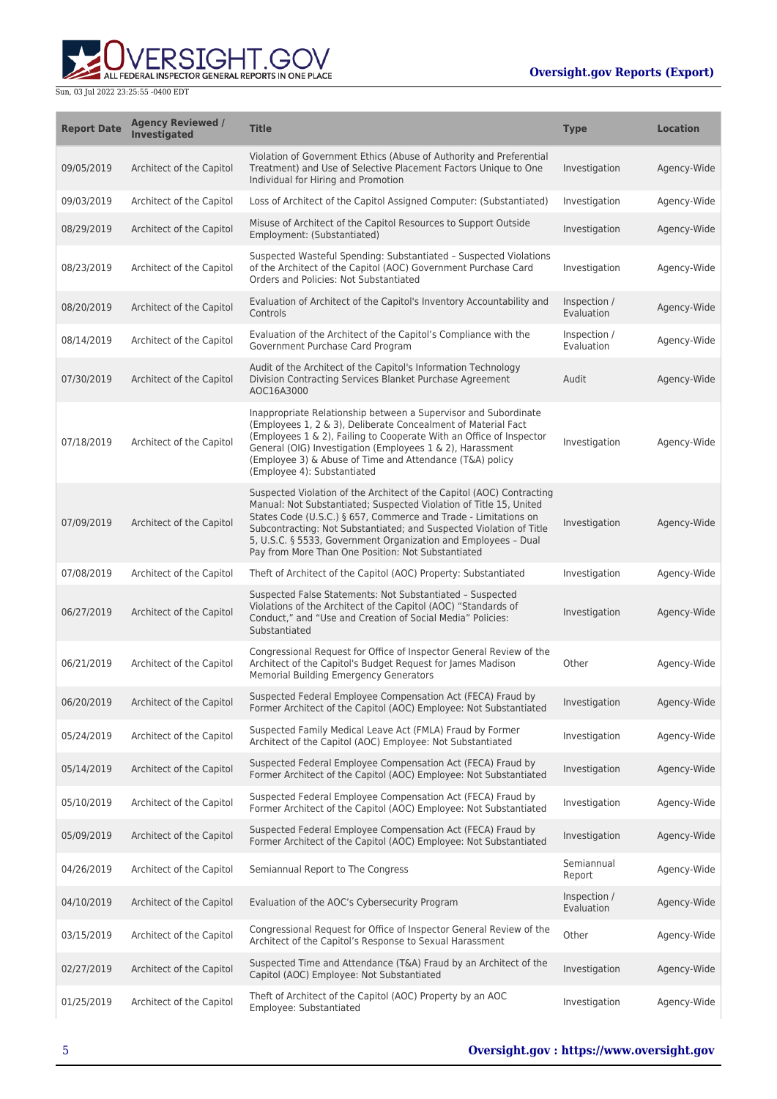

| <b>Report Date</b> | <b>Agency Reviewed /</b><br>Investigated | <b>Title</b>                                                                                                                                                                                                                                                                                                                                                                                                  | <b>Type</b>                | <b>Location</b> |
|--------------------|------------------------------------------|---------------------------------------------------------------------------------------------------------------------------------------------------------------------------------------------------------------------------------------------------------------------------------------------------------------------------------------------------------------------------------------------------------------|----------------------------|-----------------|
| 09/05/2019         | Architect of the Capitol                 | Violation of Government Ethics (Abuse of Authority and Preferential<br>Treatment) and Use of Selective Placement Factors Unique to One<br>Individual for Hiring and Promotion                                                                                                                                                                                                                                 | Investigation              | Agency-Wide     |
| 09/03/2019         | Architect of the Capitol                 | Loss of Architect of the Capitol Assigned Computer: (Substantiated)                                                                                                                                                                                                                                                                                                                                           | Investigation              | Agency-Wide     |
| 08/29/2019         | Architect of the Capitol                 | Misuse of Architect of the Capitol Resources to Support Outside<br>Employment: (Substantiated)                                                                                                                                                                                                                                                                                                                | Investigation              | Agency-Wide     |
| 08/23/2019         | Architect of the Capitol                 | Suspected Wasteful Spending: Substantiated - Suspected Violations<br>of the Architect of the Capitol (AOC) Government Purchase Card<br>Orders and Policies: Not Substantiated                                                                                                                                                                                                                                 | Investigation              | Agency-Wide     |
| 08/20/2019         | Architect of the Capitol                 | Evaluation of Architect of the Capitol's Inventory Accountability and<br>Controls                                                                                                                                                                                                                                                                                                                             | Inspection /<br>Evaluation | Agency-Wide     |
| 08/14/2019         | Architect of the Capitol                 | Evaluation of the Architect of the Capitol's Compliance with the<br>Government Purchase Card Program                                                                                                                                                                                                                                                                                                          | Inspection /<br>Evaluation | Agency-Wide     |
| 07/30/2019         | Architect of the Capitol                 | Audit of the Architect of the Capitol's Information Technology<br>Division Contracting Services Blanket Purchase Agreement<br>AOC16A3000                                                                                                                                                                                                                                                                      | Audit                      | Agency-Wide     |
| 07/18/2019         | Architect of the Capitol                 | Inappropriate Relationship between a Supervisor and Subordinate<br>(Employees 1, 2 & 3), Deliberate Concealment of Material Fact<br>(Employees 1 & 2), Failing to Cooperate With an Office of Inspector<br>General (OIG) Investigation (Employees 1 & 2), Harassment<br>(Employee 3) & Abuse of Time and Attendance (T&A) policy<br>(Employee 4): Substantiated                                               | Investigation              | Agency-Wide     |
| 07/09/2019         | Architect of the Capitol                 | Suspected Violation of the Architect of the Capitol (AOC) Contracting<br>Manual: Not Substantiated; Suspected Violation of Title 15, United<br>States Code (U.S.C.) § 657, Commerce and Trade - Limitations on<br>Subcontracting: Not Substantiated; and Suspected Violation of Title<br>5, U.S.C. § 5533, Government Organization and Employees - Dual<br>Pay from More Than One Position: Not Substantiated | Investigation              | Agency-Wide     |
| 07/08/2019         | Architect of the Capitol                 | Theft of Architect of the Capitol (AOC) Property: Substantiated                                                                                                                                                                                                                                                                                                                                               | Investigation              | Agency-Wide     |
| 06/27/2019         | Architect of the Capitol                 | Suspected False Statements: Not Substantiated - Suspected<br>Violations of the Architect of the Capitol (AOC) "Standards of<br>Conduct," and "Use and Creation of Social Media" Policies:<br>Substantiated                                                                                                                                                                                                    | Investigation              | Agency-Wide     |
| 06/21/2019         | Architect of the Capitol                 | Congressional Request for Office of Inspector General Review of the<br>Architect of the Capitol's Budget Request for James Madison<br>Memorial Building Emergency Generators                                                                                                                                                                                                                                  | Other                      | Agency-Wide     |
| 06/20/2019         | Architect of the Capitol                 | Suspected Federal Employee Compensation Act (FECA) Fraud by<br>Former Architect of the Capitol (AOC) Employee: Not Substantiated                                                                                                                                                                                                                                                                              | Investigation              | Agency-Wide     |
| 05/24/2019         | Architect of the Capitol                 | Suspected Family Medical Leave Act (FMLA) Fraud by Former<br>Architect of the Capitol (AOC) Employee: Not Substantiated                                                                                                                                                                                                                                                                                       | Investigation              | Agency-Wide     |
| 05/14/2019         | Architect of the Capitol                 | Suspected Federal Employee Compensation Act (FECA) Fraud by<br>Former Architect of the Capitol (AOC) Employee: Not Substantiated                                                                                                                                                                                                                                                                              | Investigation              | Agency-Wide     |
| 05/10/2019         | Architect of the Capitol                 | Suspected Federal Employee Compensation Act (FECA) Fraud by<br>Former Architect of the Capitol (AOC) Employee: Not Substantiated                                                                                                                                                                                                                                                                              | Investigation              | Agency-Wide     |
| 05/09/2019         | Architect of the Capitol                 | Suspected Federal Employee Compensation Act (FECA) Fraud by<br>Former Architect of the Capitol (AOC) Employee: Not Substantiated                                                                                                                                                                                                                                                                              | Investigation              | Agency-Wide     |
| 04/26/2019         | Architect of the Capitol                 | Semiannual Report to The Congress                                                                                                                                                                                                                                                                                                                                                                             | Semiannual<br>Report       | Agency-Wide     |
| 04/10/2019         | Architect of the Capitol                 | Evaluation of the AOC's Cybersecurity Program                                                                                                                                                                                                                                                                                                                                                                 | Inspection /<br>Evaluation | Agency-Wide     |
| 03/15/2019         | Architect of the Capitol                 | Congressional Request for Office of Inspector General Review of the<br>Architect of the Capitol's Response to Sexual Harassment                                                                                                                                                                                                                                                                               | Other                      | Agency-Wide     |
| 02/27/2019         | Architect of the Capitol                 | Suspected Time and Attendance (T&A) Fraud by an Architect of the<br>Capitol (AOC) Employee: Not Substantiated                                                                                                                                                                                                                                                                                                 | Investigation              | Agency-Wide     |
| 01/25/2019         | Architect of the Capitol                 | Theft of Architect of the Capitol (AOC) Property by an AOC<br>Employee: Substantiated                                                                                                                                                                                                                                                                                                                         | Investigation              | Agency-Wide     |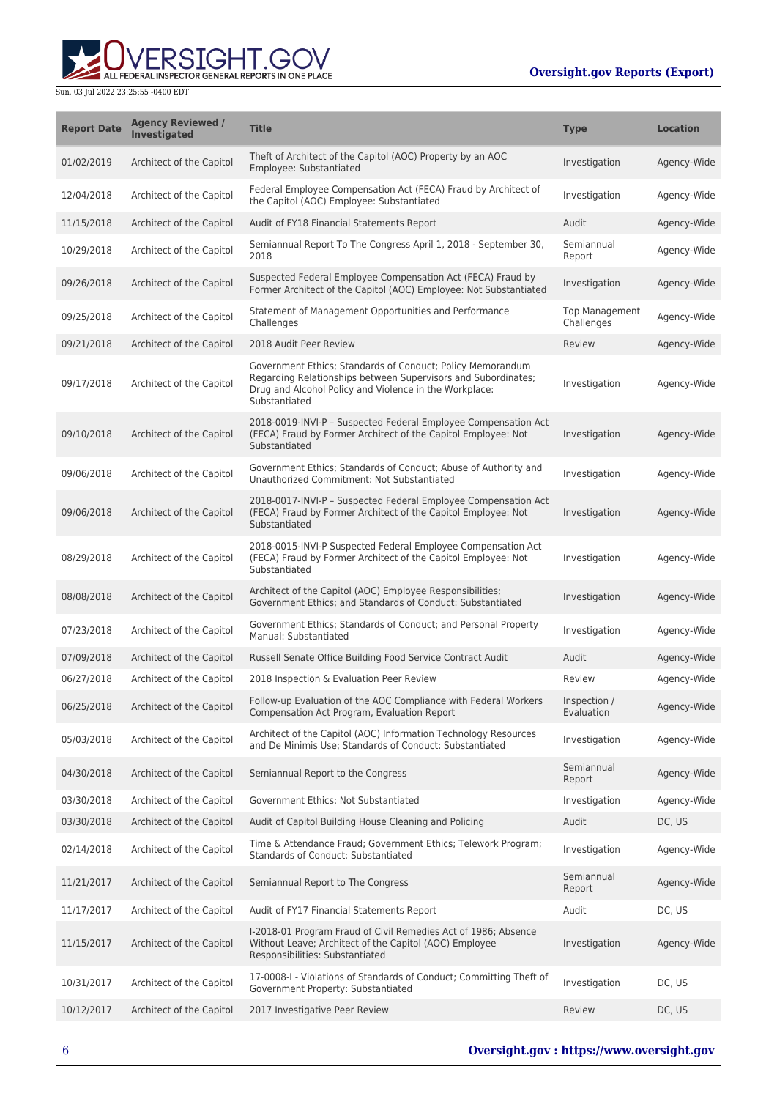## **Oversight.gov Reports (Export)**



| <b>Report Date</b> | <b>Agency Reviewed /</b><br>Investigated | <b>Title</b>                                                                                                                                                                                           | <b>Type</b>                         | <b>Location</b> |
|--------------------|------------------------------------------|--------------------------------------------------------------------------------------------------------------------------------------------------------------------------------------------------------|-------------------------------------|-----------------|
| 01/02/2019         | Architect of the Capitol                 | Theft of Architect of the Capitol (AOC) Property by an AOC<br>Employee: Substantiated                                                                                                                  | Investigation                       | Agency-Wide     |
| 12/04/2018         | Architect of the Capitol                 | Federal Employee Compensation Act (FECA) Fraud by Architect of<br>the Capitol (AOC) Employee: Substantiated                                                                                            | Investigation                       | Agency-Wide     |
| 11/15/2018         | Architect of the Capitol                 | Audit of FY18 Financial Statements Report                                                                                                                                                              | Audit                               | Agency-Wide     |
| 10/29/2018         | Architect of the Capitol                 | Semiannual Report To The Congress April 1, 2018 - September 30,<br>2018                                                                                                                                | Semiannual<br>Report                | Agency-Wide     |
| 09/26/2018         | Architect of the Capitol                 | Suspected Federal Employee Compensation Act (FECA) Fraud by<br>Former Architect of the Capitol (AOC) Employee: Not Substantiated                                                                       | Investigation                       | Agency-Wide     |
| 09/25/2018         | Architect of the Capitol                 | Statement of Management Opportunities and Performance<br>Challenges                                                                                                                                    | <b>Top Management</b><br>Challenges | Agency-Wide     |
| 09/21/2018         | Architect of the Capitol                 | 2018 Audit Peer Review                                                                                                                                                                                 | Review                              | Agency-Wide     |
| 09/17/2018         | Architect of the Capitol                 | Government Ethics; Standards of Conduct; Policy Memorandum<br>Regarding Relationships between Supervisors and Subordinates;<br>Drug and Alcohol Policy and Violence in the Workplace:<br>Substantiated | Investigation                       | Agency-Wide     |
| 09/10/2018         | Architect of the Capitol                 | 2018-0019-INVI-P - Suspected Federal Employee Compensation Act<br>(FECA) Fraud by Former Architect of the Capitol Employee: Not<br>Substantiated                                                       | Investigation                       | Agency-Wide     |
| 09/06/2018         | Architect of the Capitol                 | Government Ethics; Standards of Conduct; Abuse of Authority and<br>Unauthorized Commitment: Not Substantiated                                                                                          | Investigation                       | Agency-Wide     |
| 09/06/2018         | Architect of the Capitol                 | 2018-0017-INVI-P - Suspected Federal Employee Compensation Act<br>(FECA) Fraud by Former Architect of the Capitol Employee: Not<br>Substantiated                                                       | Investigation                       | Agency-Wide     |
| 08/29/2018         | Architect of the Capitol                 | 2018-0015-INVI-P Suspected Federal Employee Compensation Act<br>(FECA) Fraud by Former Architect of the Capitol Employee: Not<br>Substantiated                                                         | Investigation                       | Agency-Wide     |
| 08/08/2018         | Architect of the Capitol                 | Architect of the Capitol (AOC) Employee Responsibilities;<br>Government Ethics; and Standards of Conduct: Substantiated                                                                                | Investigation                       | Agency-Wide     |
| 07/23/2018         | Architect of the Capitol                 | Government Ethics; Standards of Conduct; and Personal Property<br>Manual: Substantiated                                                                                                                | Investigation                       | Agency-Wide     |
| 07/09/2018         | Architect of the Capitol                 | Russell Senate Office Building Food Service Contract Audit                                                                                                                                             | Audit                               | Agency-Wide     |
| 06/27/2018         | Architect of the Capitol                 | 2018 Inspection & Evaluation Peer Review                                                                                                                                                               | Review                              | Agency-Wide     |
| 06/25/2018         | Architect of the Capitol                 | Follow-up Evaluation of the AOC Compliance with Federal Workers<br>Compensation Act Program, Evaluation Report                                                                                         | Inspection /<br>Evaluation          | Agency-Wide     |
| 05/03/2018         | Architect of the Capitol                 | Architect of the Capitol (AOC) Information Technology Resources<br>and De Minimis Use; Standards of Conduct: Substantiated                                                                             | Investigation                       | Agency-Wide     |
| 04/30/2018         | Architect of the Capitol                 | Semiannual Report to the Congress                                                                                                                                                                      | Semiannual<br>Report                | Agency-Wide     |
| 03/30/2018         | Architect of the Capitol                 | Government Ethics: Not Substantiated                                                                                                                                                                   | Investigation                       | Agency-Wide     |
| 03/30/2018         | Architect of the Capitol                 | Audit of Capitol Building House Cleaning and Policing                                                                                                                                                  | Audit                               | DC, US          |
| 02/14/2018         | Architect of the Capitol                 | Time & Attendance Fraud; Government Ethics; Telework Program;<br>Standards of Conduct: Substantiated                                                                                                   | Investigation                       | Agency-Wide     |
| 11/21/2017         | Architect of the Capitol                 | Semiannual Report to The Congress                                                                                                                                                                      | Semiannual<br>Report                | Agency-Wide     |
| 11/17/2017         | Architect of the Capitol                 | Audit of FY17 Financial Statements Report                                                                                                                                                              | Audit                               | DC, US          |
| 11/15/2017         | Architect of the Capitol                 | I-2018-01 Program Fraud of Civil Remedies Act of 1986; Absence<br>Without Leave; Architect of the Capitol (AOC) Employee<br>Responsibilities: Substantiated                                            | Investigation                       | Agency-Wide     |
| 10/31/2017         | Architect of the Capitol                 | 17-0008-I - Violations of Standards of Conduct; Committing Theft of<br>Government Property: Substantiated                                                                                              | Investigation                       | DC, US          |
| 10/12/2017         | Architect of the Capitol                 | 2017 Investigative Peer Review                                                                                                                                                                         | Review                              | DC, US          |